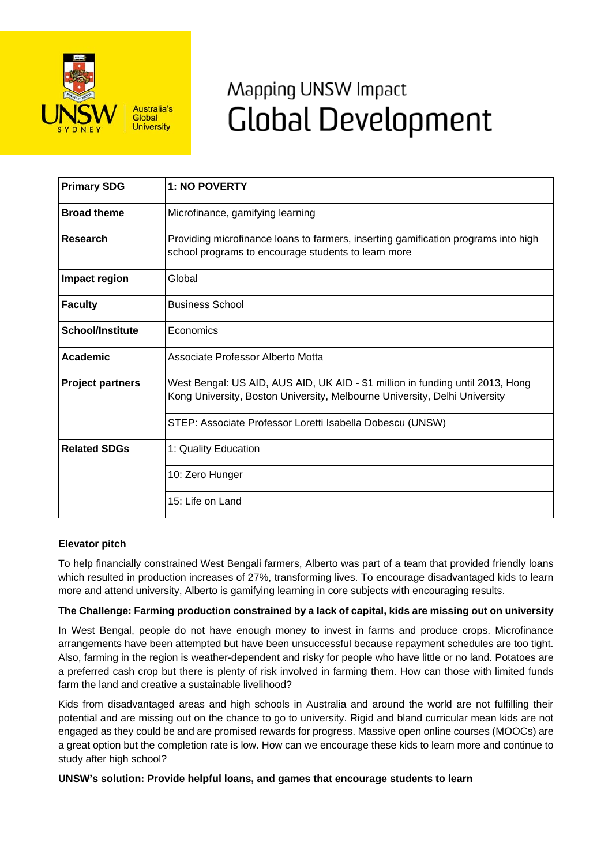

# Mapping UNSW Impact **Global Development**

| <b>Primary SDG</b>      | <b>1: NO POVERTY</b>                                                                                                                                         |
|-------------------------|--------------------------------------------------------------------------------------------------------------------------------------------------------------|
| <b>Broad theme</b>      | Microfinance, gamifying learning                                                                                                                             |
| <b>Research</b>         | Providing microfinance loans to farmers, inserting gamification programs into high<br>school programs to encourage students to learn more                    |
| Impact region           | Global                                                                                                                                                       |
| <b>Faculty</b>          | <b>Business School</b>                                                                                                                                       |
| <b>School/Institute</b> | Economics                                                                                                                                                    |
| <b>Academic</b>         | Associate Professor Alberto Motta                                                                                                                            |
| <b>Project partners</b> | West Bengal: US AID, AUS AID, UK AID - \$1 million in funding until 2013, Hong<br>Kong University, Boston University, Melbourne University, Delhi University |
|                         | STEP: Associate Professor Loretti Isabella Dobescu (UNSW)                                                                                                    |
| <b>Related SDGs</b>     | 1: Quality Education                                                                                                                                         |
|                         | 10: Zero Hunger                                                                                                                                              |
|                         | 15: Life on Land                                                                                                                                             |

## **Elevator pitch**

To help financially constrained West Bengali farmers, Alberto was part of a team that provided friendly loans which resulted in production increases of 27%, transforming lives. To encourage disadvantaged kids to learn more and attend university, Alberto is gamifying learning in core subjects with encouraging results.

## **The Challenge: Farming production constrained by a lack of capital, kids are missing out on university**

In West Bengal, people do not have enough money to invest in farms and produce crops. Microfinance arrangements have been attempted but have been unsuccessful because repayment schedules are too tight. Also, farming in the region is weather-dependent and risky for people who have little or no land. Potatoes are a preferred cash crop but there is plenty of risk involved in farming them. How can those with limited funds farm the land and creative a sustainable livelihood?

Kids from disadvantaged areas and high schools in Australia and around the world are not fulfilling their potential and are missing out on the chance to go to university. Rigid and bland curricular mean kids are not engaged as they could be and are promised rewards for progress. Massive open online courses (MOOCs) are a great option but the completion rate is low. How can we encourage these kids to learn more and continue to study after high school?

## **UNSW's solution: Provide helpful loans, and games that encourage students to learn**